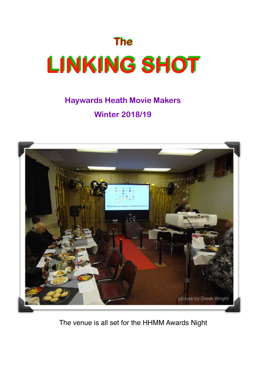

## **Haywards Heath Movie Makers Winter 2018/19**



The venue is all set for the HHMM Awards Night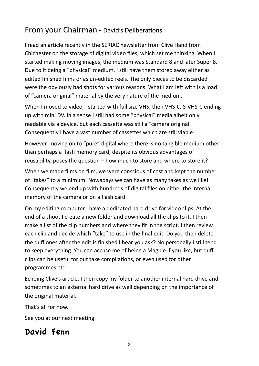### From your Chairman - David's Deliberations

I read an article recently in the SERIAC newsletter from Clive Hand from Chichester on the storage of digital video files, which set me thinking. When I started making moving images, the medium was Standard 8 and later Super 8. Due to it being a "physical" medium, I still have them stored away either as edited finished films or as un-edited reels. The only pieces to be discarded were the obviously bad shots for various reasons. What I am left with is a load of "camera original" material by the very nature of the medium.

When I moved to video, I started with full size VHS, then VHS-C, S-VHS-C ending up with mini DV. In a sense I still had some "physical" media albeit only readable via a device, but each cassette was still a "camera original". Consequently I have a vast number of cassettes which are still viable!

However, moving on to "pure" digital where there is no tangible medium other than perhaps a flash memory card, despite its obvious advantages of reusability, poses the question  $-$  how much to store and where to store it?

When we made films on film, we were conscious of cost and kept the number of "takes" to a minimum. Nowadays we can have as many takes as we like! Consequently we end up with hundreds of digital files on either the internal memory of the camera or on a flash card.

On my editing computer I have a dedicated hard drive for video clips. At the end of a shoot I create a new folder and download all the clips to it. I then make a list of the clip numbers and where they fit in the script. I then review each clip and decide which "take" to use in the final edit. Do you then delete the duff ones after the edit is finished I hear you ask? No personally I still tend to keep everything. You can accuse me of being a Magpie if you like, but duff clips can be useful for out take compilations, or even used for other programmes etc. 

Echoing Clive's article, I then copy my folder to another internal hard drive and sometimes to an external hard drive as well depending on the importance of the original material.

That's all for now.

See you at our next meeting.

### David Fenn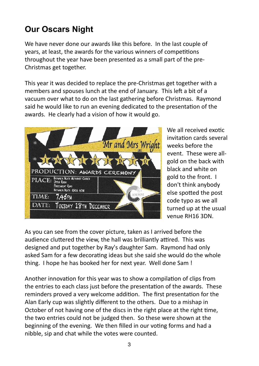## **Our Oscars Night**

We have never done our awards like this before. In the last couple of years, at least, the awards for the various winners of competitions throughout the year have been presented as a small part of the pre-Christmas get together.

This year it was decided to replace the pre-Christmas get together with a members and spouses lunch at the end of January. This left a bit of a vacuum over what to do on the last gathering before Christmas. Raymond said he would like to run an evening dedicated to the presentation of the awards. He clearly had a vision of how it would go.



We all received exotic invitation cards several weeks before the event. These were allgold on the back with black and white on gold to the front. I don't think anybody else spotted the post code typo as we all turned up at the usual venue RH16 3DN.

As you can see from the cover picture, taken as I arrived before the audience cluttered the view, the hall was brilliantly attired. This was designed and put together by Ray's daughter Sam. Raymond had only asked Sam for a few decorating ideas but she said she would do the whole thing. I hope he has booked her for next year. Well done Sam!

Another innovation for this year was to show a compilation of clips from the entries to each class just before the presentation of the awards. These reminders proved a very welcome addition. The first presentation for the Alan Early cup was slightly different to the others. Due to a mishap in October of not having one of the discs in the right place at the right time, the two entries could not be judged then. So these were shown at the beginning of the evening. We then filled in our voting forms and had a nibble, sip and chat while the votes were counted.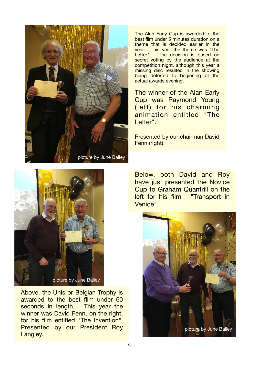

The Alan Early Cup is awarded to the best film under 5 minutes duration on a theme that is decided earlier in the year. This year the theme was "The<br>Letter". The decision is based on The decision is based on secret voting by the audience at the competition night, although this year a missing disc resulted in the showing being deferred to beginning of the actual awards evening.

The winner of the Alan Early Cup was Raymond Young (left) for his charming animation entitled "The Letter"

Presented by our chairman David Fenn (right).



Above, the Unis or Belgian Trophy is awarded to the best film under 60 seconds in length. This year the winner was David Fenn, on the right. for his film entitled "The Invention". Presented by our President Roy Langley.

Below, both David and Roy have just presented the Novice Cup to Graham Quantrill on the left for his film "Transport in Venice".

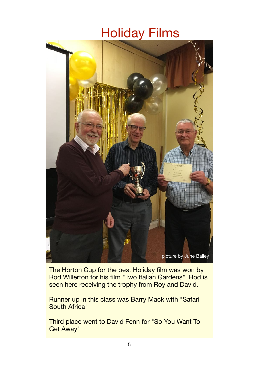# Holiday Films



The Horton Cup for the best Holiday film was won by Rod Willerton for his film "Two Italian Gardens". Rod is seen here receiving the trophy from Roy and David.

Runner up in this class was Barry Mack with "Safari South Africa"

Third place went to David Fenn for "So You Want To Get Away"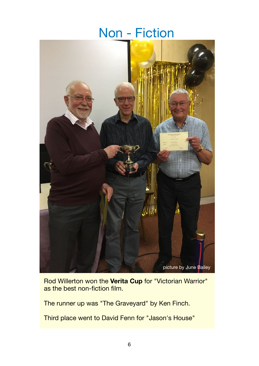## Non - Fiction



Rod Willerton won the **Verita Cup** for "Victorian Warrior" as the best non-fiction film.

The runner up was "The Graveyard" by Ken Finch.

Third place went to David Fenn for "Jason's House"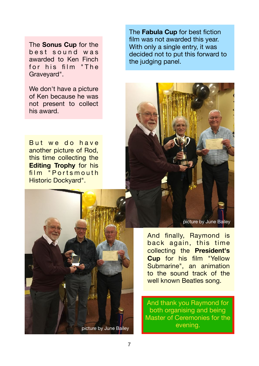The **Sonus Cup** for the best sound was awarded to Ken Finch for his film "The Graveyard".

We don't have a picture of Ken because he was not present to collect his award.

But we do have another picture of Rod, this time collecting the **Editing Trophy** for his film "Portsmouth" Historic Dockyard".



The **Fabula Cup** for best fiction film was not awarded this year. With only a single entry, it was decided not to put this forward to the judging panel.



picture by June Bailey

And finally, Raymond is back again, this time collecting the **President's Cup** for his film "Yellow Submarine", an animation to the sound track of the well known Beatles song.

And thank you Raymond for both organising and being Master of Ceremonies for the evening.